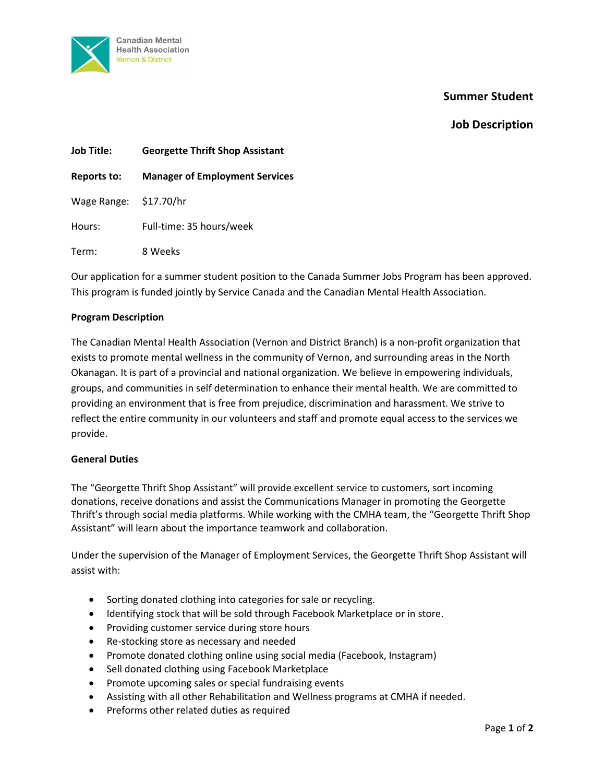

# **Summer Student**

# **Job Description**

| <b>Job Title:</b>      | <b>Georgette Thrift Shop Assistant</b> |
|------------------------|----------------------------------------|
| Reports to:            | <b>Manager of Employment Services</b>  |
| Wage Range: \$17.70/hr |                                        |
| Hours:                 | Full-time: 35 hours/week               |
| Term:                  | 8 Weeks                                |

Our application for a summer student position to the Canada Summer Jobs Program has been approved. This program is funded jointly by Service Canada and the Canadian Mental Health Association.

### **Program Description**

The Canadian Mental Health Association (Vernon and District Branch) is a non-profit organization that exists to promote mental wellness in the community of Vernon, and surrounding areas in the North Okanagan. It is part of a provincial and national organization. We believe in empowering individuals, groups, and communities in self determination to enhance their mental health. We are committed to providing an environment that is free from prejudice, discrimination and harassment. We strive to reflect the entire community in our volunteers and staff and promote equal access to the services we provide.

#### **General Duties**

The "Georgette Thrift Shop Assistant" will provide excellent service to customers, sort incoming donations, receive donations and assist the Communications Manager in promoting the Georgette Thrift's through social media platforms. While working with the CMHA team, the "Georgette Thrift Shop Assistant" will learn about the importance teamwork and collaboration.

Under the supervision of the Manager of Employment Services, the Georgette Thrift Shop Assistant will assist with:

- Sorting donated clothing into categories for sale or recycling.
- Identifying stock that will be sold through Facebook Marketplace or in store.
- Providing customer service during store hours
- Re-stocking store as necessary and needed
- Promote donated clothing online using social media (Facebook, Instagram)
- Sell donated clothing using Facebook Marketplace
- Promote upcoming sales or special fundraising events
- Assisting with all other Rehabilitation and Wellness programs at CMHA if needed.
- Preforms other related duties as required